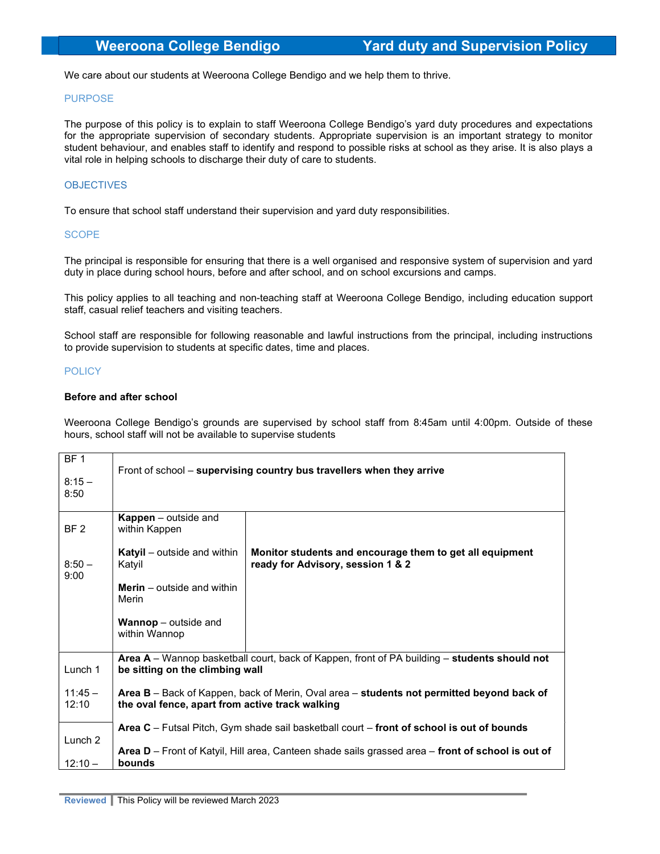We care about our students at Weeroona College Bendigo and we help them to thrive.

### PURPOSE

The purpose of this policy is to explain to staff Weeroona College Bendigo's yard duty procedures and expectations for the appropriate supervision of secondary students. Appropriate supervision is an important strategy to monitor student behaviour, and enables staff to identify and respond to possible risks at school as they arise. It is also plays a vital role in helping schools to discharge their duty of care to students.

# **OBJECTIVES**

To ensure that school staff understand their supervision and yard duty responsibilities.

### SCOPE

The principal is responsible for ensuring that there is a well organised and responsive system of supervision and yard duty in place during school hours, before and after school, and on school excursions and camps.

This policy applies to all teaching and non-teaching staff at Weeroona College Bendigo, including education support staff, casual relief teachers and visiting teachers.

School staff are responsible for following reasonable and lawful instructions from the principal, including instructions to provide supervision to students at specific dates, time and places.

## POLICY

## Before and after school

Weeroona College Bendigo's grounds are supervised by school staff from 8:45am until 4:00pm. Outside of these hours, school staff will not be available to supervise students

| BF <sub>1</sub><br>$8:15-$<br>8:50 | Front of school - supervising country bus travellers when they arrive                                                                        |                                                                                               |
|------------------------------------|----------------------------------------------------------------------------------------------------------------------------------------------|-----------------------------------------------------------------------------------------------|
| BF 2                               | <b>Kappen</b> – outside and<br>within Kappen                                                                                                 |                                                                                               |
| $8:50 -$<br>9:00                   | <b>Katyil</b> – outside and within<br>Katyil                                                                                                 | Monitor students and encourage them to get all equipment<br>ready for Advisory, session 1 & 2 |
|                                    | <b>Merin</b> $-$ outside and within<br>Merin                                                                                                 |                                                                                               |
|                                    | <b>Wannop</b> – outside and<br>within Wannop                                                                                                 |                                                                                               |
| Lunch 1                            | Area A – Wannop basketball court, back of Kappen, front of PA building – students should not<br>be sitting on the climbing wall              |                                                                                               |
| $11:45 -$<br>12:10                 | Area B - Back of Kappen, back of Merin, Oval area - students not permitted beyond back of<br>the oval fence, apart from active track walking |                                                                                               |
| Lunch 2                            | Area $C$ – Futsal Pitch, Gym shade sail basketball court – front of school is out of bounds                                                  |                                                                                               |
| $12:10 -$                          | Area D – Front of Katyil, Hill area, Canteen shade sails grassed area – front of school is out of<br>bounds                                  |                                                                                               |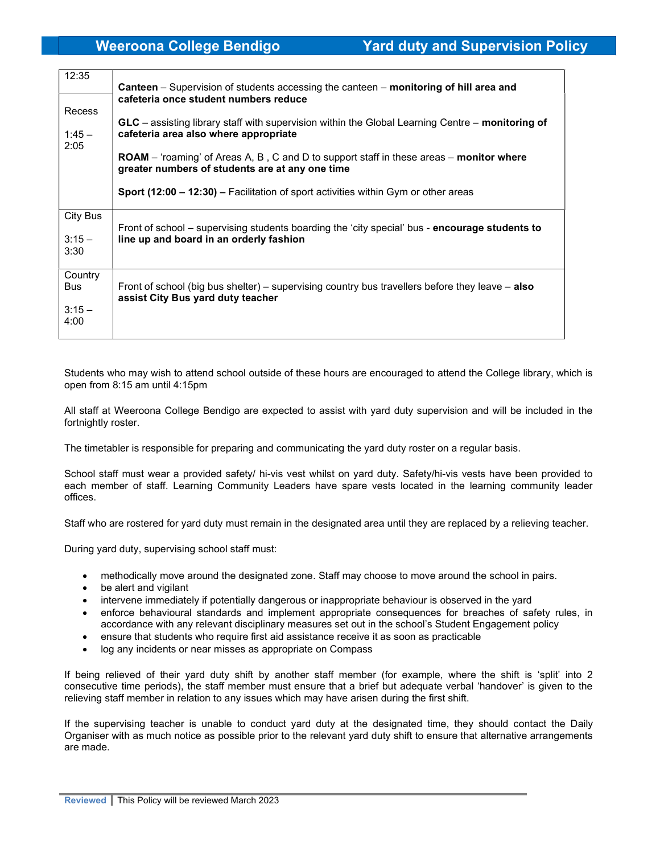| 12:35                                     | <b>Canteen</b> – Supervision of students accessing the canteen – monitoring of hill area and<br>cafeteria once student numbers reduce                    |  |
|-------------------------------------------|----------------------------------------------------------------------------------------------------------------------------------------------------------|--|
| Recess<br>$1:45 -$                        | GLC - assisting library staff with supervision within the Global Learning Centre - monitoring of<br>cafeteria area also where appropriate                |  |
| 2:05                                      | <b>ROAM</b> – 'roaming' of Areas A, B, C and D to support staff in these areas – <b>monitor where</b><br>greater numbers of students are at any one time |  |
|                                           | <b>Sport (12:00 – 12:30) – Facilitation of sport activities within Gym or other areas</b>                                                                |  |
| City Bus<br>$3:15 -$<br>3:30              | Front of school – supervising students boarding the 'city special' bus - <b>encourage students to</b><br>line up and board in an orderly fashion         |  |
| Country<br><b>Bus</b><br>$3:15 -$<br>4:00 | Front of school (big bus shelter) – supervising country bus travellers before they leave – <b>also</b><br>assist City Bus yard duty teacher              |  |

Students who may wish to attend school outside of these hours are encouraged to attend the College library, which is open from 8:15 am until 4:15pm

All staff at Weeroona College Bendigo are expected to assist with yard duty supervision and will be included in the fortnightly roster.

The timetabler is responsible for preparing and communicating the yard duty roster on a regular basis.

School staff must wear a provided safety/ hi-vis vest whilst on yard duty. Safety/hi-vis vests have been provided to each member of staff. Learning Community Leaders have spare vests located in the learning community leader offices.

Staff who are rostered for yard duty must remain in the designated area until they are replaced by a relieving teacher.

During yard duty, supervising school staff must:

- methodically move around the designated zone. Staff may choose to move around the school in pairs.
- be alert and vigilant
- intervene immediately if potentially dangerous or inappropriate behaviour is observed in the yard
- enforce behavioural standards and implement appropriate consequences for breaches of safety rules, in accordance with any relevant disciplinary measures set out in the school's Student Engagement policy
- ensure that students who require first aid assistance receive it as soon as practicable
- log any incidents or near misses as appropriate on Compass

If being relieved of their yard duty shift by another staff member (for example, where the shift is 'split' into 2 consecutive time periods), the staff member must ensure that a brief but adequate verbal 'handover' is given to the relieving staff member in relation to any issues which may have arisen during the first shift.

If the supervising teacher is unable to conduct yard duty at the designated time, they should contact the Daily Organiser with as much notice as possible prior to the relevant yard duty shift to ensure that alternative arrangements are made.